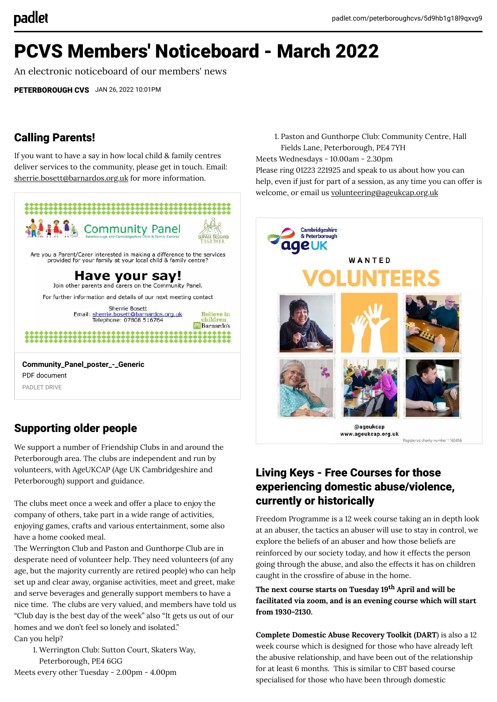# PCVS Members' Noticeboard - March 2022

An electronic noticeboard of our members' news

[PETERBOROUGH CVS](https://padlet.com/peterboroughcvs) JAN 26, 2022 10:01PM

## Calling Parents!

If you want to have a say in how local child & family centres deliver services to the community, please get in touch. Email: [sherrie.bosett@barnardos.org.uk](mailto:sherrie.bosett@barnardos.org.uk) for more information.



PDF document PADLET DRIVE

# Supporting older people

We support a number of Friendship Clubs in and around the Peterborough area. The clubs are independent and run by volunteers, with AgeUKCAP (Age UK Cambridgeshire and Peterborough) support and guidance.

The clubs meet once a week and offer a place to enjoy the company of others, take part in a wide range of activities, enjoying games, crafts and various entertainment, some also have a home cooked meal.

The Werrington Club and Paston and Gunthorpe Club are in desperate need of volunteer help. They need volunteers (of any age, but the majority currently are retired people) who can help set up and clear away, organise activities, meet and greet, make and serve beverages and generally support members to have a nice time. The clubs are very valued, and members have told us "Club day is the best day of the week" also "It gets us out of our homes and we don't feel so lonely and isolated." Can you help?

1. Werrington Club: Sutton Court, Skaters Way, Peterborough, PE4 6GG

Meets every other Tuesday - 2.00pm - 4.00pm

1. Paston and Gunthorpe Club: Community Centre, Hall Fields Lane, Peterborough, PE4 7YH

Meets Wednesdays - 10.00am - 2.30pm Please ring 01223 221925 and speak to us about how you can help, even if just for part of a session, as any time you can offer is welcome, or email us [volunteering@ageukcap.org.uk](mailto:volunteering@ageukcap.org.uk)



www.ageukcap.org.uk Registered charity number 1165856

# Living Keys - Free Courses for those experiencing domestic abuse/violence, currently or historically

Freedom Programme is a 12 week course taking an in depth look at an abuser, the tactics an abuser will use to stay in control, we explore the beliefs of an abuser and how those beliefs are reinforced by our society today, and how it effects the person going through the abuse, and also the effects it has on children caught in the crossfire of abuse in the home.

**The next course starts on Tuesday 19th April and will be facilitated via zoom, and is an evening course which will start from 1930-2130.**

**Complete Domestic Abuse Recovery Toolkit (DART**) is also a 12 week course which is designed for those who have already left the abusive relationship, and have been out of the relationship for at least 6 months. This is similar to CBT based course specialised for those who have been through domestic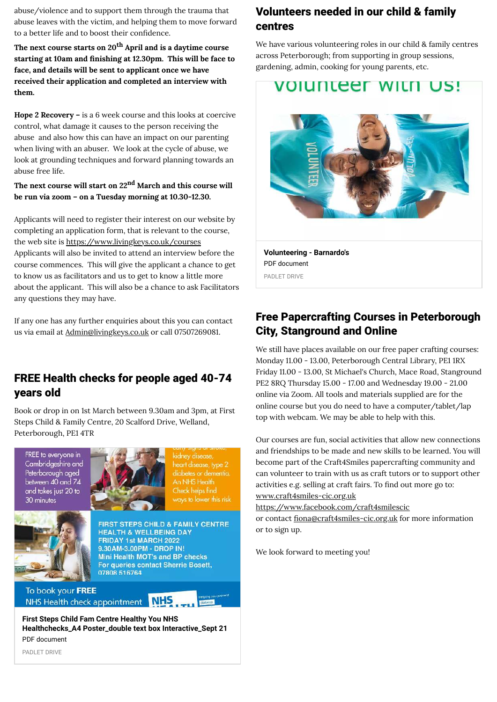abuse/violence and to support them through the trauma that abuse leaves with the victim, and helping them to move forward to a better life and to boost their confidence.

**The next course starts on 20th April and is a daytime course** starting at 10am and finishing at 12.30pm. This will be face to **face, and details will be sent to applicant once we have received their application and completed an interview with them.**

**Hope 2 Recovery –** is a 6 week course and this looks at coercive control, what damage it causes to the person receiving the abuse and also how this can have an impact on our parenting when living with an abuser. We look at the cycle of abuse, we look at grounding techniques and forward planning towards an abuse free life.

### **The next course will start on 22nd March and this course will be run via zoom – on a Tuesday morning at 10.30-12.30.**

Applicants will need to register their interest on our website by completing an application form, that is relevant to the course, the web site is<https://www.livingkeys.co.uk/courses> Applicants will also be invited to attend an interview before the course commences. This will give the applicant a chance to get to know us as facilitators and us to get to know a little more about the applicant. This will also be a chance to ask Facilitators any questions they may have.

If any one has any further enquiries about this you can contact us via email at [Admin@livingkeys.co.uk](mailto:Admin@livingkeys.co.uk) or call 07507269081.

### FREE Health checks for people aged 40-74 years old

Book or drop in on 1st March between 9.30am and 3pm, at First Steps Child & Family Centre, 20 Scalford Drive, Welland, Peterborough, PE1 4TR





kidney disease, heart disease, type 2 diabetes or dementia. An NHS Health Check helps find vays to lower this risk



**FIRST STEPS CHILD & FAMILY CENTRE HEALTH & WELLBEING DAY** FRIDAY 1st MARCH 2022 9.30AM-3.00PM - DROP IN! Mini Health MOT's and BP checks For queries contact Sherrie Bosett. 07808 516764

To book your FREE NHS Health check appointment **NHS** 

**First Steps Child Fam Centre Healthy You NHS [Healthchecks\\_A4 Poster\\_double text box Interactive\\_Sept 21](https://padlet-uploads.storage.googleapis.com/1525077638/a3df1deae690fb31fb2c75c9df91a4a4/First_Steps_Child_Fam_Centre_Healthy_You_NHS_Healthchecks_A4_Poster_double_text_box_Interactive_Sept_21.pdf)** PDF document

# Volunteers needed in our child & family centres

We have various volunteering roles in our child & family centres across Peterborough; from supporting in group sessions, gardening, admin, cooking for young parents, etc.

# VOIUNTEEF WITH US!



**[Volunteering - Barnardo's](https://padlet-uploads.storage.googleapis.com/1525077638/7d898541d4a4c4a6e189ba94a9e8e348/Volunteering___Barnardo_s.pdf)** PDF document PADLET DRIVE

# Free Papercrafting Courses in Peterborough City, Stanground and Online

We still have places available on our free paper crafting courses: Monday 11.00 - 13.00, Peterborough Central Library, PE1 1RX Friday 11.00 - 13.00, St Michael's Church, Mace Road, Stanground PE2 8RQ Thursday 15.00 - 17.00 and Wednesday 19.00 - 21.00 online via Zoom. All tools and materials supplied are for the online course but you do need to have a computer/tablet/lap top with webcam. We may be able to help with this.

Our courses are fun, social activities that allow new connections and friendships to be made and new skills to be learned. You will become part of the Craft4Smiles papercrafting community and can volunteer to train with us as craft tutors or to support other activities e.g. selling at craft fairs. To find out more go to: [www.craft4smiles-cic.org.uk](http://www.craft4smiles-cic.org.uk/)

<https://www.facebook.com/craft4smilescic>

or contact fiona@craft4smiles-cic.org.uk for more information or to sign up.

We look forward to meeting you!

PADLET DRIVE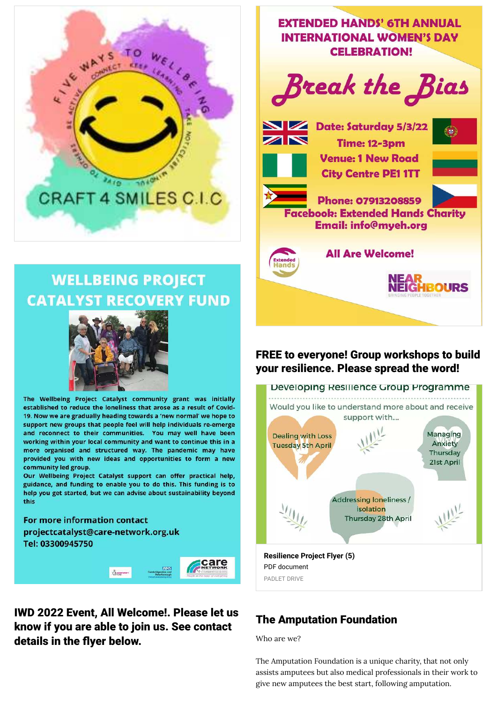

# **WELLBEING PROJECT CATALYST RECOVERY FUND**



The Wellbeing Project Catalyst community grant was initially established to reduce the loneliness that arose as a result of Covid-19. Now we are gradually heading towards a 'new normal' we hope to support new groups that people feel will help individuals re-emerge and reconnect to their communities. You may well have been working within your local community and want to continue this in a more organised and structured way. The pandemic may have provided you with new ideas and opportunities to form a new community led group.

Our Wellbeing Project Catalyst support can offer practical help, guidance, and funding to enable you to do this. This funding is to help you get started, but we can advise about sustainability beyond this

For more information contact projectcatalyst@care-network.org.uk Tel: 03300945750



# IWD 2022 Event, All Welcome!. Please let us know if you are able to join us. See contact details in the flyer below.



### FREE to everyone! Group workshops to build your resilience. Please spread the word!



# The Amputation Foundation

Who are we?

The Amputation Foundation is a unique charity, that not only assists amputees but also medical professionals in their work to give new amputees the best start, following amputation.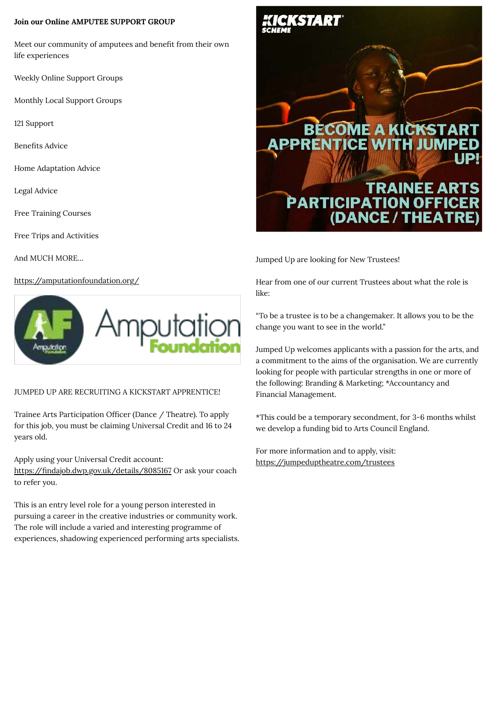### **Join our Online AMPUTEE SUPPORT GROUP**

Meet our community of amputees and benefit from their own life experiences

Weekly Online Support Groups

Monthly Local Support Groups

121 Support

Benefits Advice

Home Adaptation Advice

Legal Advice

Free Training Courses

Free Trips and Activities

And MUCH MORE…

### [https://amputationfoundation.org/](https://scanner.topsec.com/?r=show&d=1978&u=https%3A%2F%2Famputationfoundation.org%2F&t=785a917252e2b620f20fb6606f7ae5bd31b4c237)



### JUMPED UP ARE RECRUITING A KICKSTART APPRENTICE!

Trainee Arts Participation Officer (Dance / Theatre). To apply for this job, you must be claiming Universal Credit and 16 to 24 years old.

Apply using your Universal Credit account:

https://findajob.dwp.gov.uk/details/8085167 Or ask your coach to refer you.

This is an entry level role for a young person interested in pursuing a career in the creative industries or community work. The role will include a varied and interesting programme of experiences, shadowing experienced performing arts specialists.



Jumped Up are looking for New Trustees!

Hear from one of our current Trustees about what the role is like:

"To be a trustee is to be a changemaker. It allows you to be the change you want to see in the world."

Jumped Up welcomes applicants with a passion for the arts, and a commitment to the aims of the organisation. We are currently looking for people with particular strengths in one or more of the following: Branding & Marketing; \*Accountancy and Financial Management.

\*This could be a temporary secondment, for 3-6 months whilst we develop a funding bid to Arts Council England.

For more information and to apply, visit: <https://jumpeduptheatre.com/trustees>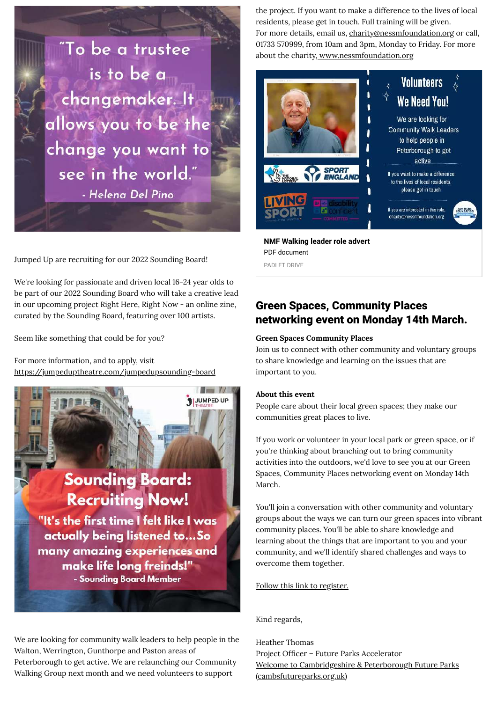

Jumped Up are recruiting for our 2022 Sounding Board!

We're looking for passionate and driven local 16-24 year olds to be part of our 2022 Sounding Board who will take a creative lead in our upcoming project Right Here, Right Now - an online zine, curated by the Sounding Board, featuring over 100 artists.

Seem like something that could be for you?

For more information, and to apply, visit <https://jumpeduptheatre.com/jumpedupsounding-board>



We are looking for community walk leaders to help people in the Walton, Werrington, Gunthorpe and Paston areas of Peterborough to get active. We are relaunching our Community Walking Group next month and we need volunteers to support

the project. If you want to make a difference to the lives of local residents, please get in touch. Full training will be given. For more details, email us, [charity@nessmfoundation.org](mailto:charity@nessmfoundation.org) or call, 01733 570999, from 10am and 3pm, Monday to Friday. For more about the charity, [www.nessmfoundation.org](https://l.facebook.com/l.php?u=http%3A%2F%2Fwww.nessmfoundation.org%2F%3Ffbclid%3DIwAR2Z-HMSZivMWN3ZUZyRRFvc3MZP0Xm3OvDL5llsXC6NzsYM72aMzkIUDok&h=AT29_JEiyZfcb8WAsh5q7-IoUSh4Kfck4hpQgGwXzwKqaosAPhIuXc3VbWF1u3W29vII6wmYZDEfgE3IP8sqOyhrwGzsckU0AgrLzO7GYlKL8-SQG5vfGTajargmF_yzn4duF4IkBtSsVcbitA&__tn__=-UK-R&c%5B0%5D=AT30iQbZoItzlC3D_KuKIt1m7Hy7GaAiEXyRDR9VH9jY02cHlvbDmLfr4_xS1S-VboEdr7xJrCkdzcW9Xc1mwSAQHICXQkkc_cagM3uWfktCuKDlbUAZ7Hcq_XpmV07mW0Zjx68A4O3noLsD9LMPKs7LfROzTobHnAaPIEM3v4h-ydYcsxiI91kme4DNNz2HCVS4vZSC) 



**[NMF Walking leader role advert](https://padlet-uploads.storage.googleapis.com/1570871483/fb48670baa9e6ad8b09fa232c5b8b3d5/NMF_Walking_leader_role_advert.pdf)** PDF document PADLET DRIVE

### Green Spaces, Community Places networking event on Monday 14th March.

#### **Green Spaces Community Places**

Join us to connect with other community and voluntary groups to share knowledge and learning on the issues that are important to you.

#### **About this event**

People care about their local green spaces; they make our communities great places to live.

If you work or volunteer in your local park or green space, or if you're thinking about branching out to bring community activities into the outdoors, we'd love to see you at our Green Spaces, Community Places networking event on Monday 14th March.

You'll join a conversation with other community and voluntary groups about the ways we can turn our green spaces into vibrant community places. You'll be able to share knowledge and learning about the things that are important to you and your community, and we'll identify shared challenges and ways to overcome them together.

#### [Follow this link to register.](https://www.eventbrite.co.uk/e/green-spaces-community-places-open-spaces-forum-tickets-264072597247)

Kind regards,

Heather Thomas Project Officer - Future Parks Accelerator [Welcome to Cambridgeshire & Peterborough Future Parks](https://cambsfutureparks.org.uk/) (cambsfutureparks.org.uk)